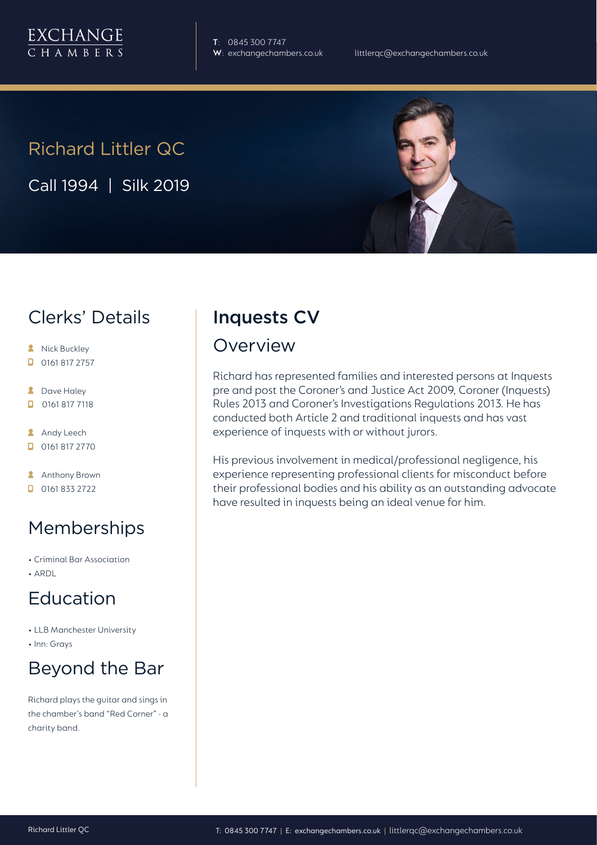

**T**: 0845 300 7747

# Richard Littler QC

Call 1994 | Silk 2019

## Clerks' Details

- **A** Nick Buckley
- $\Box$  0161 817 2757
- **2** Dave Haley
- $\Box$ 0161 817 7118
- **Andy Leech**
- 0161 817 2770
- **Anthony Brown**
- $\Box$  0161 833 2722

## Memberships

- Criminal Bar Association
- ARDL

## Education

- LLB Manchester University
- Inn: Grays

# Beyond the Bar

Richard plays the guitar and sings in the chamber's band "Red Corner" - a charity band.

## Inquests CV

#### Overview

Richard has represented families and interested persons at Inquests pre and post the Coroner's and Justice Act 2009, Coroner (Inquests) Rules 2013 and Coroner's Investigations Regulations 2013. He has conducted both Article 2 and traditional inquests and has vast experience of inquests with or without jurors.

His previous involvement in medical/professional negligence, his experience representing professional clients for misconduct before their professional bodies and his ability as an outstanding advocate have resulted in inquests being an ideal venue for him.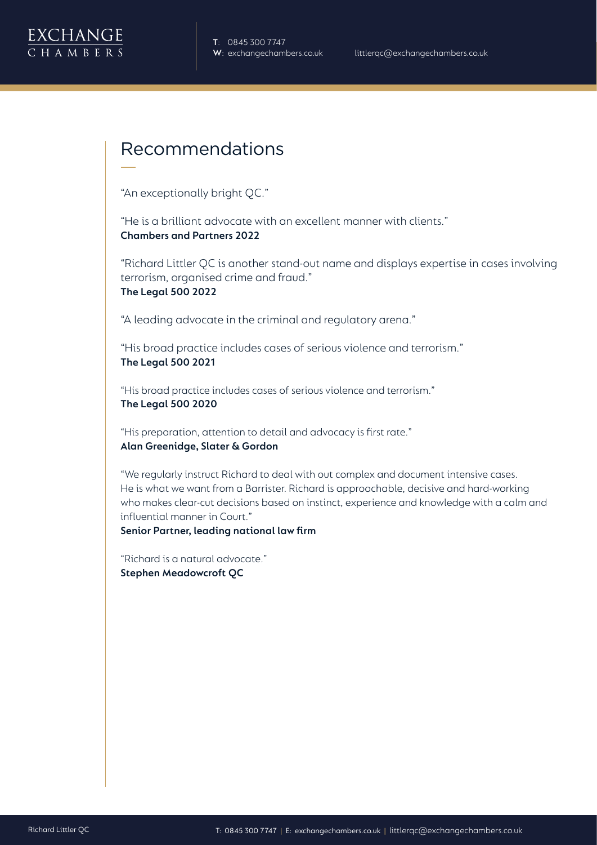

#### Recommendations

"An exceptionally bright QC."

"He is a brilliant advocate with an excellent manner with clients." **Chambers and Partners 2022**

"Richard Littler QC is another stand-out name and displays expertise in cases involving terrorism, organised crime and fraud." **The Legal 500 2022**

"A leading advocate in the criminal and regulatory arena."

"His broad practice includes cases of serious violence and terrorism." **The Legal 500 2021**

"His broad practice includes cases of serious violence and terrorism." **The Legal 500 2020**

"His preparation, attention to detail and advocacy is first rate." **Alan Greenidge, Slater & Gordon** 

"We regularly instruct Richard to deal with out complex and document intensive cases. He is what we want from a Barrister. Richard is approachable, decisive and hard-working who makes clear-cut decisions based on instinct, experience and knowledge with a calm and influential manner in Court."

**Senior Partner, leading national law firm**

"Richard is a natural advocate." **Stephen Meadowcroft QC**